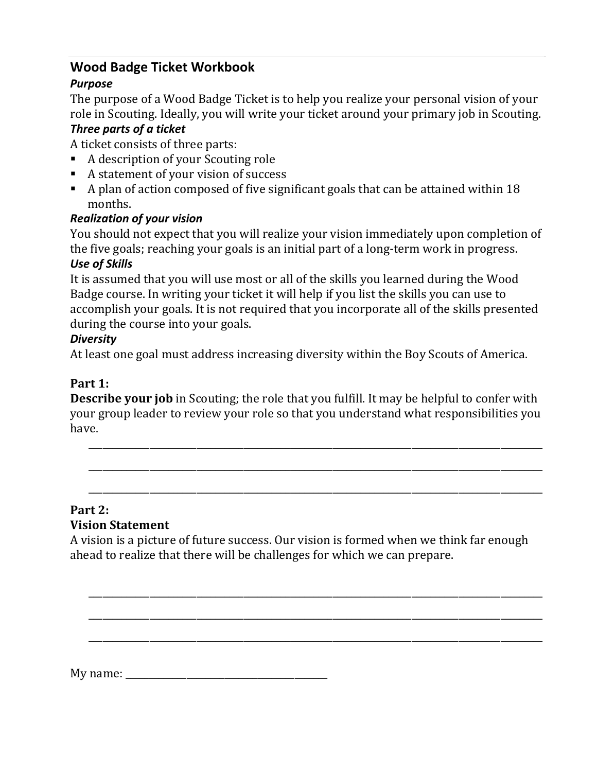# **Wood Badge Ticket Workbook**

## *Purpose*

The purpose of a Wood Badge Ticket is to help you realize your personal vision of your role in Scouting. Ideally, you will write your ticket around your primary job in Scouting. *Three parts of a ticket*

A ticket consists of three parts:

- A description of your Scouting role
- A statement of your vision of success
- A plan of action composed of five significant goals that can be attained within 18 months.

## *Realization of your vision*

You should not expect that you will realize your vision immediately upon completion of the five goals; reaching your goals is an initial part of a long‐term work in progress.

#### *Use of Skills*

It is assumed that you will use most or all of the skills you learned during the Wood Badge course. In writing your ticket it will help if you list the skills you can use to accomplish your goals. It is not required that you incorporate all of the skills presented during the course into your goals.

#### *Diversity*

At least one goal must address increasing diversity within the Boy Scouts of America.

# **Part 1:**

**Describe your job** in Scouting; the role that you fulfill. It may be helpful to confer with your group leader to review your role so that you understand what responsibilities you have.

 $\overline{\phantom{a}}$  , and the contribution of the contribution of the contribution of the contribution of the contribution of the contribution of the contribution of the contribution of the contribution of the contribution of the

 $\overline{\phantom{a}}$  , and the contribution of the contribution of the contribution of the contribution of the contribution of the contribution of the contribution of the contribution of the contribution of the contribution of the

 $\overline{\phantom{a}}$  , and the contribution of the contribution of the contribution of the contribution of the contribution of the contribution of the contribution of the contribution of the contribution of the contribution of the

# **Part 2:**

#### **Vision Statement**

A vision is a picture of future success. Our vision is formed when we think far enough ahead to realize that there will be challenges for which we can prepare.

 $\overline{\phantom{a}}$  , and the contribution of the contribution of the contribution of the contribution of the contribution of the contribution of the contribution of the contribution of the contribution of the contribution of the

 $\overline{\phantom{a}}$  , and the contribution of the contribution of the contribution of the contribution of the contribution of the contribution of the contribution of the contribution of the contribution of the contribution of the

 $\overline{\phantom{a}}$  , and the contribution of the contribution of the contribution of the contribution of the contribution of the contribution of the contribution of the contribution of the contribution of the contribution of the

My name: \_\_\_\_\_\_\_\_\_\_\_\_\_\_\_\_\_\_\_\_\_\_\_\_\_\_\_\_\_\_\_\_\_\_\_\_\_\_\_\_\_\_\_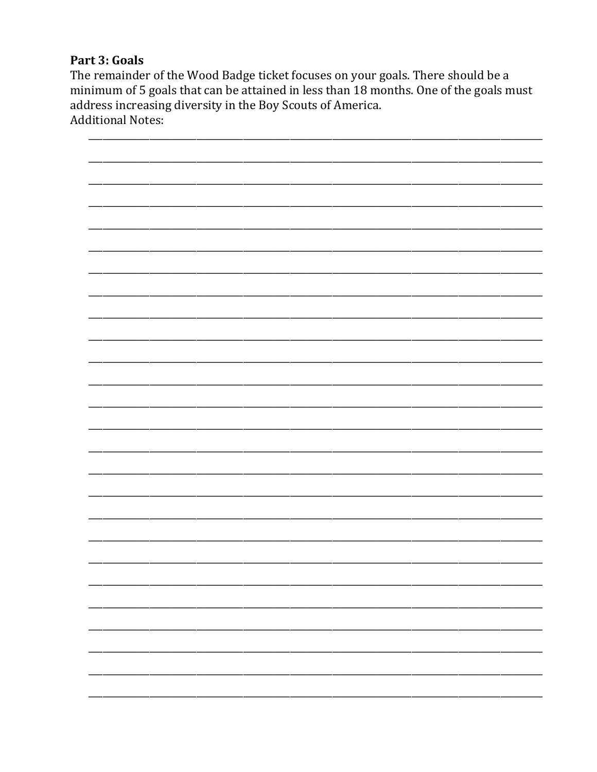#### Part 3: Goals

The remainder of the Wood Badge ticket focuses on your goals. There should be a minimum of 5 goals that can be attained in less than 18 months. One of the goals must address increasing diversity in the Boy Scouts of America. **Additional Notes:** 

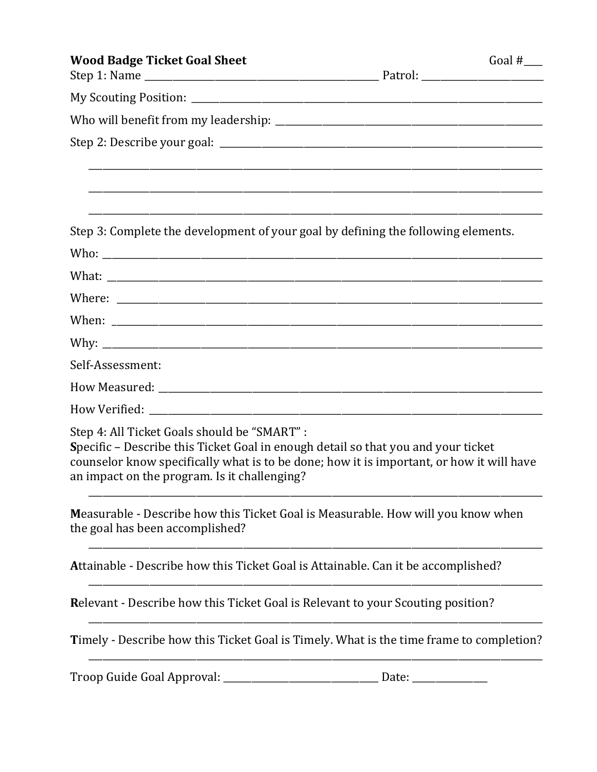| <b>Wood Badge Ticket Goal Sheet</b>                                                                                                                                                                                                                                           | Goal $#$ <sub>____</sub> |
|-------------------------------------------------------------------------------------------------------------------------------------------------------------------------------------------------------------------------------------------------------------------------------|--------------------------|
|                                                                                                                                                                                                                                                                               |                          |
|                                                                                                                                                                                                                                                                               |                          |
|                                                                                                                                                                                                                                                                               |                          |
|                                                                                                                                                                                                                                                                               |                          |
| Step 3: Complete the development of your goal by defining the following elements.                                                                                                                                                                                             |                          |
|                                                                                                                                                                                                                                                                               |                          |
|                                                                                                                                                                                                                                                                               |                          |
|                                                                                                                                                                                                                                                                               |                          |
|                                                                                                                                                                                                                                                                               |                          |
|                                                                                                                                                                                                                                                                               |                          |
| Self-Assessment:                                                                                                                                                                                                                                                              |                          |
|                                                                                                                                                                                                                                                                               |                          |
|                                                                                                                                                                                                                                                                               |                          |
| Step 4: All Ticket Goals should be "SMART" :<br>Specific - Describe this Ticket Goal in enough detail so that you and your ticket<br>counselor know specifically what is to be done; how it is important, or how it will have<br>an impact on the program. Is it challenging? |                          |
| Measurable - Describe how this Ticket Goal is Measurable. How will you know when<br>the goal has been accomplished?                                                                                                                                                           |                          |
| Attainable - Describe how this Ticket Goal is Attainable. Can it be accomplished?                                                                                                                                                                                             |                          |
| <b>Relevant - Describe how this Ticket Goal is Relevant to your Scouting position?</b>                                                                                                                                                                                        |                          |
| Timely - Describe how this Ticket Goal is Timely. What is the time frame to completion?                                                                                                                                                                                       |                          |
|                                                                                                                                                                                                                                                                               |                          |